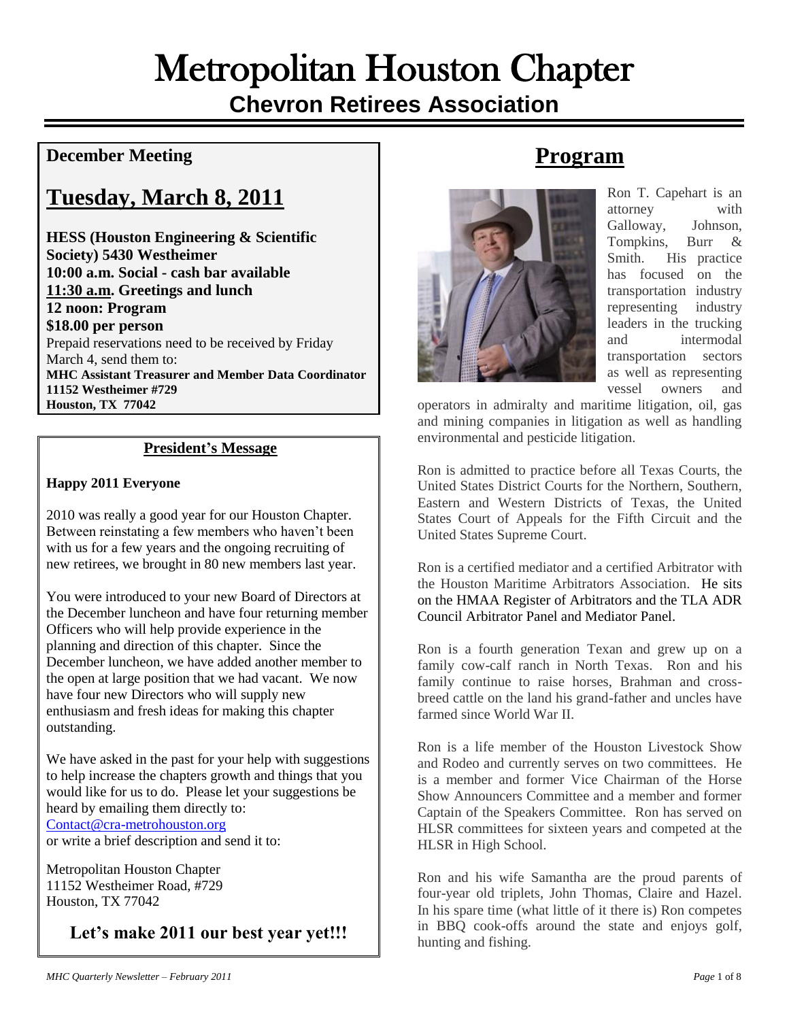# Metropolitan Houston Chapter **Chevron Retirees Association**

#### **December Meeting**

# **Tuesday, March 8, 2011**

**HESS (Houston Engineering & Scientific Society) 5430 Westheimer 10:00 a.m. Social - cash bar available 11:30 a.m. Greetings and lunch 12 noon: Program \$18.00 per person** Prepaid reservations need to be received by Friday March 4, send them to: **MHC Assistant Treasurer and Member Data Coordinator 11152 Westheimer #729 Houston, TX 77042**

#### **President's Message**

#### **Happy 2011 Everyone**

2010 was really a good year for our Houston Chapter. Between reinstating a few members who haven't been with us for a few years and the ongoing recruiting of new retirees, we brought in 80 new members last year.

You were introduced to your new Board of Directors at the December luncheon and have four returning member Officers who will help provide experience in the planning and direction of this chapter. Since the December luncheon, we have added another member to the open at large position that we had vacant. We now have four new Directors who will supply new enthusiasm and fresh ideas for making this chapter outstanding.

We have asked in the past for your help with suggestions to help increase the chapters growth and things that you would like for us to do. Please let your suggestions be heard by emailing them directly to: [Contact@cra-metrohouston.org](mailto:Contact@cra-metrohouston.org)  or write a brief description and send it to:

Metropolitan Houston Chapter 11152 Westheimer Road, #729 Houston, TX 77042

**Let's make 2011 our best year yet!!!**

# **Program**



Ron T. Capehart is an attorney with Galloway, Johnson, Tompkins, Burr & Smith. His practice has focused on the transportation industry representing industry leaders in the trucking and intermodal transportation sectors as well as representing vessel owners and

operators in admiralty and maritime litigation, oil, gas and mining companies in litigation as well as handling environmental and pesticide litigation.

Ron is admitted to practice before all Texas Courts, the United States District Courts for the Northern, Southern, Eastern and Western Districts of Texas, the United States Court of Appeals for the Fifth Circuit and the United States Supreme Court.

Ron is a certified mediator and a certified Arbitrator with the Houston Maritime Arbitrators Association. He sits on the HMAA Register of Arbitrators and the TLA ADR Council Arbitrator Panel and Mediator Panel.

Ron is a fourth generation Texan and grew up on a family cow-calf ranch in North Texas. Ron and his family continue to raise horses, Brahman and crossbreed cattle on the land his grand-father and uncles have farmed since World War II.

Ron is a life member of the Houston Livestock Show and Rodeo and currently serves on two committees. He is a member and former Vice Chairman of the Horse Show Announcers Committee and a member and former Captain of the Speakers Committee. Ron has served on HLSR committees for sixteen years and competed at the HLSR in High School.

Ron and his wife Samantha are the proud parents of four-year old triplets, John Thomas, Claire and Hazel. In his spare time (what little of it there is) Ron competes in BBQ cook-offs around the state and enjoys golf, hunting and fishing.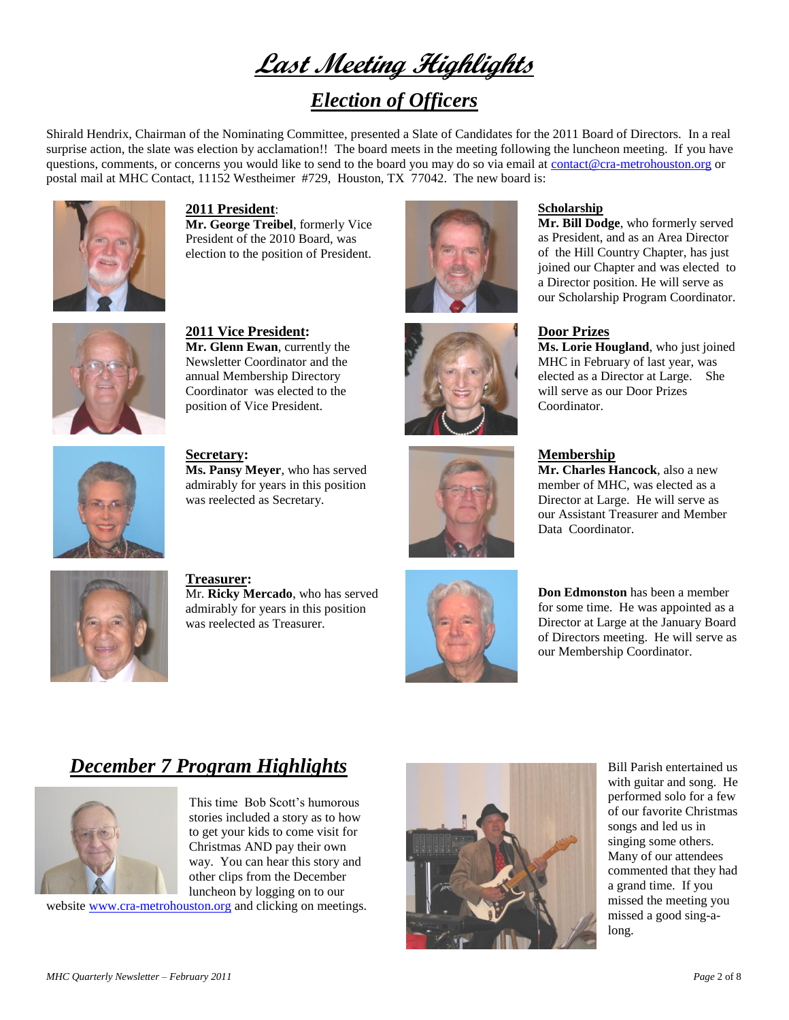**Last Meeting Highlights**

## *Election of Officers*

Shirald Hendrix, Chairman of the Nominating Committee, presented a Slate of Candidates for the 2011 Board of Directors. In a real surprise action, the slate was election by acclamation!! The board meets in the meeting following the luncheon meeting. If you have questions, comments, or concerns you would like to send to the board you may do so via email at [contact@cra-metrohouston.org](mailto:contact@cra-metrohouston.org) or postal mail at MHC Contact, 11152 Westheimer #729, Houston, TX 77042. The new board is:



**2011 President**: **Mr. George Treibel**, formerly Vice President of the 2010 Board, was election to the position of President.



**2011 Vice President: Mr. Glenn Ewan**, currently the Newsletter Coordinator and the annual Membership Directory Coordinator was elected to the position of Vice President.



**Ms. Pansy Meyer**, who has served admirably for years in this position was reelected as Secretary.





#### **Scholarship**

**Mr. Bill Dodge**, who formerly served as President, and as an Area Director of the Hill Country Chapter, has just joined our Chapter and was elected to a Director position. He will serve as our Scholarship Program Coordinator.

#### **Door Prizes**

**Ms. Lorie Hougland**, who just joined MHC in February of last year, was elected as a Director at Large. She will serve as our Door Prizes Coordinator.

**Secretary:**



#### **Membership**

**Mr. Charles Hancock**, also a new member of MHC, was elected as a Director at Large. He will serve as our Assistant Treasurer and Member Data Coordinator.



**Treasurer:** Mr. **Ricky Mercado**, who has served admirably for years in this position was reelected as Treasurer.



**Don Edmonston** has been a member for some time. He was appointed as a Director at Large at the January Board of Directors meeting. He will serve as our Membership Coordinator.

## *December 7 Program Highlights*



This time Bob Scott's humorous stories included a story as to how to get your kids to come visit for Christmas AND pay their own way. You can hear this story and other clips from the December luncheon by logging on to our

website [www.cra-metrohouston.org](http://www.cra-metrohouston.org/) and clicking on meetings.



Bill Parish entertained us with guitar and song. He performed solo for a few of our favorite Christmas songs and led us in singing some others. Many of our attendees commented that they had a grand time. If you missed the meeting you missed a good sing-along.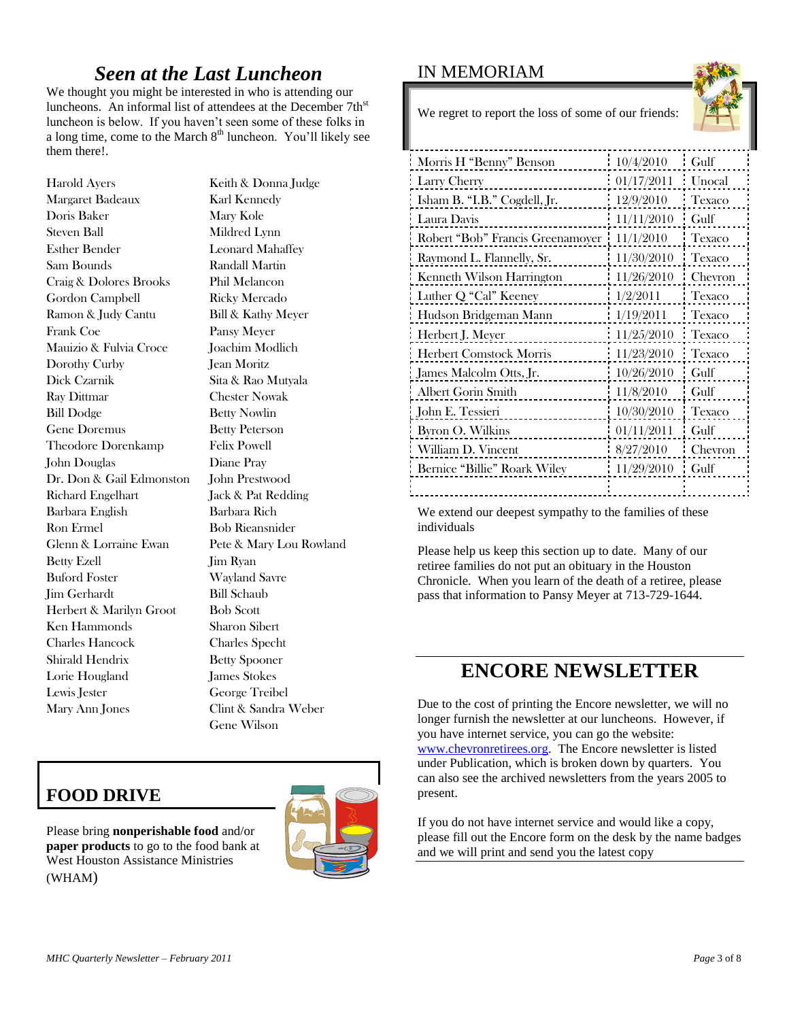#### *Seen at the Last Luncheon*

We thought you might be interested in who is attending our luncheons. An informal list of attendees at the December 7th<sup>st</sup> luncheon is below. If you haven't seen some of these folks in a long time, come to the March 8<sup>th</sup> luncheon. You'll likely see them there!.

Harold Ayers Keith & Donna Judge Margaret Badeaux Karl Kennedy Doris Baker Mary Kole Steven Ball Mildred Lynn Esther Bender Leonard Mahaffey Sam Bounds Randall Martin Craig & Dolores Brooks Phil Melancon Gordon Campbell Ricky Mercado Ramon & Judy Cantu Bill & Kathy Meyer Frank Coe Pansy Meyer Mauizio & Fulvia Croce Joachim Modlich Dorothy Curby **Jean Moritz** Dick Czarnik Sita & Rao Mutyala Ray Dittmar Chester Nowak Bill Dodge Betty Nowlin Gene Doremus Betty Peterson Theodore Dorenkamp Felix Powell John Douglas Diane Pray Dr. Don & Gail Edmonston John Prestwood Richard Engelhart Jack & Pat Redding Barbara English Barbara Rich Ron Ermel Bob Rieansnider Glenn & Lorraine Ewan Pete & Mary Lou Rowland Betty Ezell Jim Ryan Buford Foster Wayland Savre Jim Gerhardt Bill Schaub Herbert & Marilyn Groot Bob Scott Ken Hammonds Sharon Sibert Charles Hancock Charles Specht Shirald Hendrix Betty Spooner Lorie Hougland James Stokes Lewis Jester George Treibel Mary Ann Jones Clint & Sandra Weber

Gene Wilson

#### IN MEMORIAM



We regret to report the loss of some of our friends:

| 10/4/2010  | Gulf    |
|------------|---------|
| 01/17/2011 | Unocal  |
| 12/9/2010  | Texaco  |
| 11/11/2010 | Gulf    |
| 11/1/2010  | Texaco  |
| 11/30/2010 | Texaco  |
| 11/26/2010 | Chevron |
| 1/2/2011   | Texaco  |
| 1/19/2011  | Texaco  |
| 11/25/2010 | Texaco  |
| 11/23/2010 | Texaco  |
| 10/26/2010 | Gulf    |
| 11/8/2010  | Gulf    |
| 10/30/2010 | Texaco  |
| 01/11/2011 | Gulf    |
| 8/27/2010  | Chevron |
| 11/29/2010 | Gulf    |
|            |         |
|            |         |

We extend our deepest sympathy to the families of these individuals

Please help us keep this section up to date. Many of our retiree families do not put an obituary in the Houston Chronicle. When you learn of the death of a retiree, please pass that information to Pansy Meyer at 713-729-1644.

## **ENCORE NEWSLETTER**

Due to the cost of printing the Encore newsletter, we will no longer furnish the newsletter at our luncheons. However, if you have internet service, you can go the website: [www.chevronretirees.org.](http://www.chevronretirees.org/) The Encore newsletter is listed under Publication, which is broken down by quarters. You can also see the archived newsletters from the years 2005 to present.

If you do not have internet service and would like a copy, please fill out the Encore form on the desk by the name badges and we will print and send you the latest copy

## **FOOD DRIVE**

Please bring **nonperishable food** and/or **paper products** to go to the food bank at West Houston Assistance Ministries (WHAM)

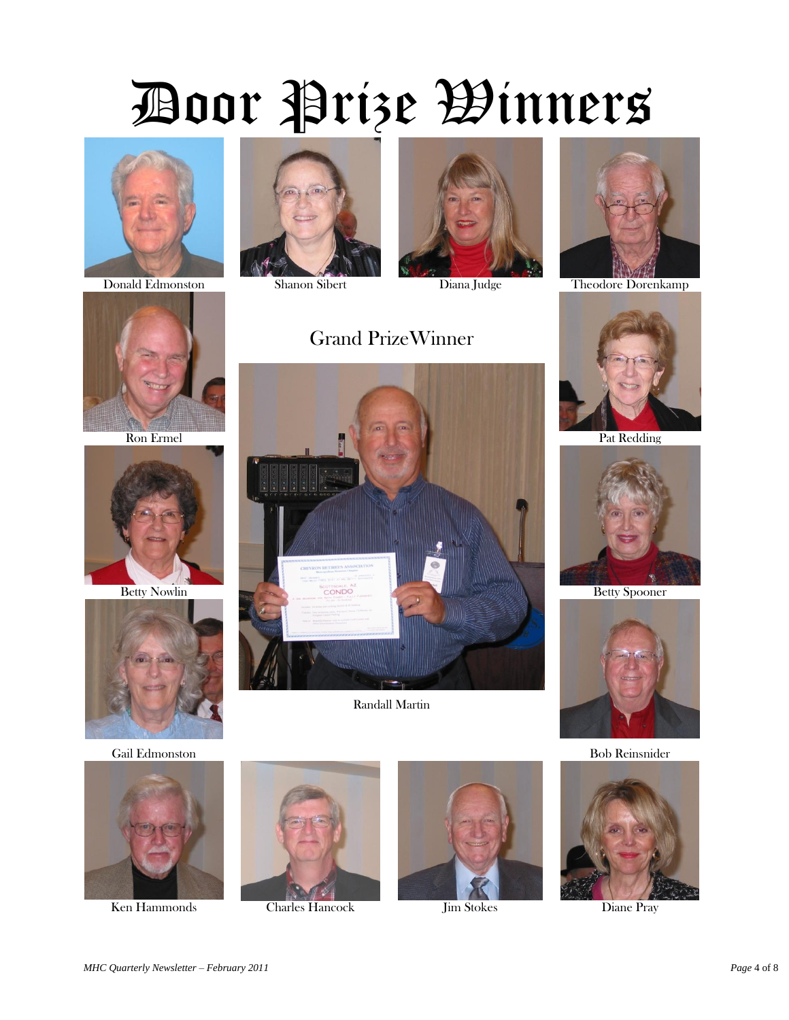# Door Prize Winners









Gail Edmonston Bob Reinsnider





Ken Hammonds Charles Hancock Jim Stokes Diane Pray

















Grand PrizeWinner

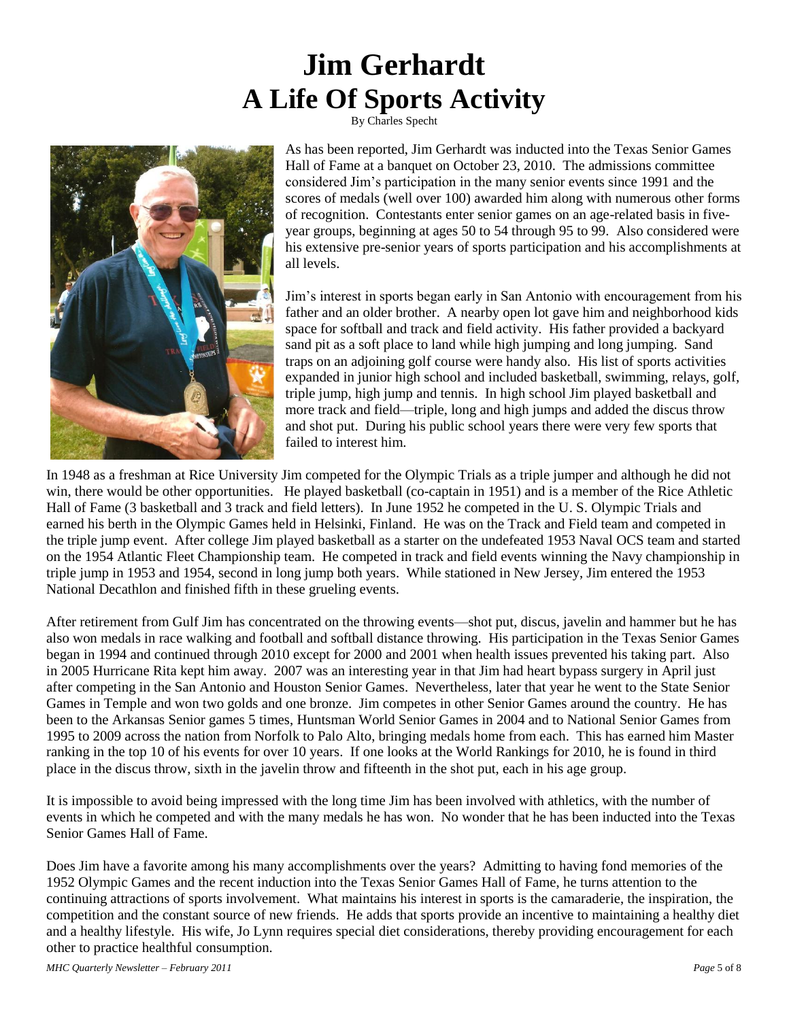# **Jim Gerhardt A Life Of Sports Activity**

By Charles Specht



As has been reported, Jim Gerhardt was inducted into the Texas Senior Games Hall of Fame at a banquet on October 23, 2010. The admissions committee considered Jim's participation in the many senior events since 1991 and the scores of medals (well over 100) awarded him along with numerous other forms of recognition. Contestants enter senior games on an age-related basis in fiveyear groups, beginning at ages 50 to 54 through 95 to 99. Also considered were his extensive pre-senior years of sports participation and his accomplishments at all levels.

Jim's interest in sports began early in San Antonio with encouragement from his father and an older brother. A nearby open lot gave him and neighborhood kids space for softball and track and field activity. His father provided a backyard sand pit as a soft place to land while high jumping and long jumping. Sand traps on an adjoining golf course were handy also. His list of sports activities expanded in junior high school and included basketball, swimming, relays, golf, triple jump, high jump and tennis. In high school Jim played basketball and more track and field—triple, long and high jumps and added the discus throw and shot put. During his public school years there were very few sports that failed to interest him.

In 1948 as a freshman at Rice University Jim competed for the Olympic Trials as a triple jumper and although he did not win, there would be other opportunities. He played basketball (co-captain in 1951) and is a member of the Rice Athletic Hall of Fame (3 basketball and 3 track and field letters). In June 1952 he competed in the U. S. Olympic Trials and earned his berth in the Olympic Games held in Helsinki, Finland. He was on the Track and Field team and competed in the triple jump event. After college Jim played basketball as a starter on the undefeated 1953 Naval OCS team and started on the 1954 Atlantic Fleet Championship team. He competed in track and field events winning the Navy championship in triple jump in 1953 and 1954, second in long jump both years. While stationed in New Jersey, Jim entered the 1953 National Decathlon and finished fifth in these grueling events.

After retirement from Gulf Jim has concentrated on the throwing events—shot put, discus, javelin and hammer but he has also won medals in race walking and football and softball distance throwing. His participation in the Texas Senior Games began in 1994 and continued through 2010 except for 2000 and 2001 when health issues prevented his taking part. Also in 2005 Hurricane Rita kept him away. 2007 was an interesting year in that Jim had heart bypass surgery in April just after competing in the San Antonio and Houston Senior Games. Nevertheless, later that year he went to the State Senior Games in Temple and won two golds and one bronze. Jim competes in other Senior Games around the country. He has been to the Arkansas Senior games 5 times, Huntsman World Senior Games in 2004 and to National Senior Games from 1995 to 2009 across the nation from Norfolk to Palo Alto, bringing medals home from each. This has earned him Master ranking in the top 10 of his events for over 10 years. If one looks at the World Rankings for 2010, he is found in third place in the discus throw, sixth in the javelin throw and fifteenth in the shot put, each in his age group.

It is impossible to avoid being impressed with the long time Jim has been involved with athletics, with the number of events in which he competed and with the many medals he has won. No wonder that he has been inducted into the Texas Senior Games Hall of Fame.

Does Jim have a favorite among his many accomplishments over the years? Admitting to having fond memories of the 1952 Olympic Games and the recent induction into the Texas Senior Games Hall of Fame, he turns attention to the continuing attractions of sports involvement. What maintains his interest in sports is the camaraderie, the inspiration, the competition and the constant source of new friends. He adds that sports provide an incentive to maintaining a healthy diet and a healthy lifestyle. His wife, Jo Lynn requires special diet considerations, thereby providing encouragement for each other to practice healthful consumption.